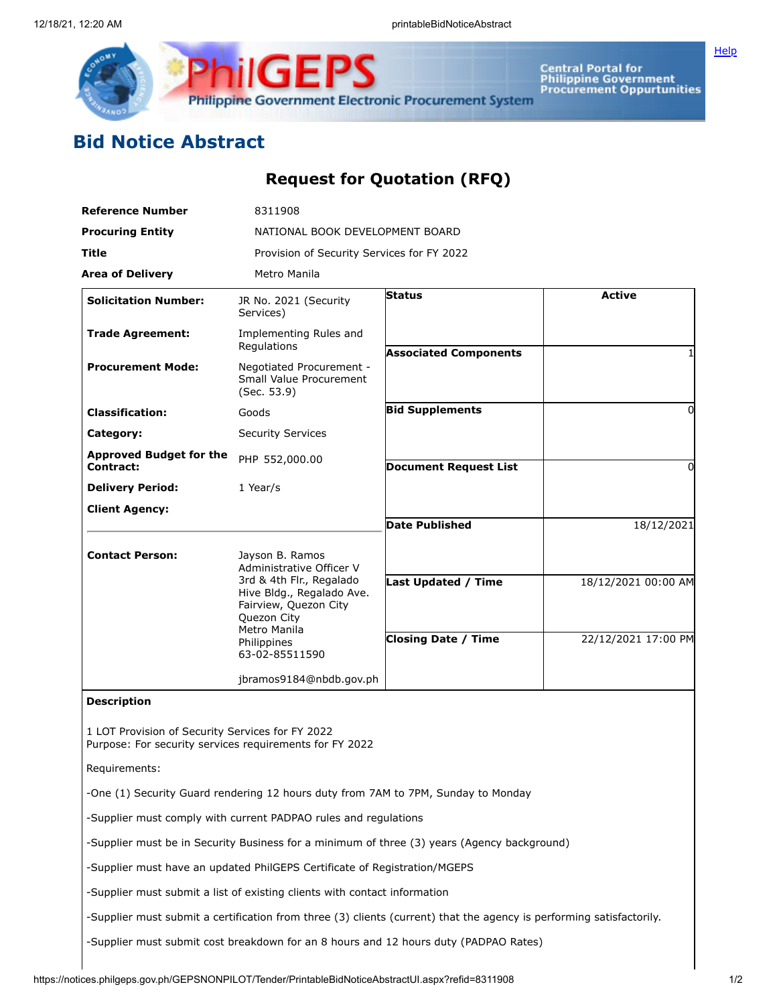

**Central Portal for<br>Philippine Government<br>Procurement Oppurtunities** 

**[Help](javascript:void(window.open()** 

## **Bid Notice Abstract**

## **Request for Quotation (RFQ)**

| <b>Reference Number</b>                                                                                     | 8311908                                                                                                                                        |                                                                                                                      |                     |
|-------------------------------------------------------------------------------------------------------------|------------------------------------------------------------------------------------------------------------------------------------------------|----------------------------------------------------------------------------------------------------------------------|---------------------|
| <b>Procuring Entity</b>                                                                                     | NATIONAL BOOK DEVELOPMENT BOARD                                                                                                                |                                                                                                                      |                     |
| Title                                                                                                       | Provision of Security Services for FY 2022                                                                                                     |                                                                                                                      |                     |
| <b>Area of Delivery</b>                                                                                     | Metro Manila                                                                                                                                   |                                                                                                                      |                     |
| <b>Solicitation Number:</b>                                                                                 | JR No. 2021 (Security<br>Services)                                                                                                             | <b>Status</b>                                                                                                        | <b>Active</b>       |
| <b>Trade Agreement:</b>                                                                                     | Implementing Rules and<br>Regulations                                                                                                          | <b>Associated Components</b>                                                                                         |                     |
| <b>Procurement Mode:</b>                                                                                    | Negotiated Procurement -<br>Small Value Procurement<br>(Sec. 53.9)                                                                             |                                                                                                                      |                     |
| <b>Classification:</b>                                                                                      | Goods                                                                                                                                          | <b>Bid Supplements</b>                                                                                               | 0                   |
| Category:                                                                                                   | <b>Security Services</b>                                                                                                                       |                                                                                                                      |                     |
| <b>Approved Budget for the</b><br>Contract:                                                                 | PHP 552,000.00                                                                                                                                 | <b>Document Request List</b>                                                                                         | 0                   |
| <b>Delivery Period:</b>                                                                                     | 1 Year/s                                                                                                                                       |                                                                                                                      |                     |
| <b>Client Agency:</b>                                                                                       |                                                                                                                                                |                                                                                                                      |                     |
|                                                                                                             |                                                                                                                                                | <b>Date Published</b>                                                                                                | 18/12/2021          |
| <b>Contact Person:</b>                                                                                      | Jayson B. Ramos<br>Administrative Officer V                                                                                                    |                                                                                                                      |                     |
|                                                                                                             | 3rd & 4th Flr., Regalado<br>Hive Bldg., Regalado Ave.<br>Fairview, Quezon City<br>Quezon City<br>Metro Manila<br>Philippines<br>63-02-85511590 | <b>Last Updated / Time</b>                                                                                           | 18/12/2021 00:00 AM |
|                                                                                                             |                                                                                                                                                | <b>Closing Date / Time</b>                                                                                           | 22/12/2021 17:00 PM |
|                                                                                                             | jbramos9184@nbdb.gov.ph                                                                                                                        |                                                                                                                      |                     |
| <b>Description</b>                                                                                          |                                                                                                                                                |                                                                                                                      |                     |
| 1 LOT Provision of Security Services for FY 2022<br>Purpose: For security services requirements for FY 2022 |                                                                                                                                                |                                                                                                                      |                     |
| Requirements:                                                                                               |                                                                                                                                                |                                                                                                                      |                     |
|                                                                                                             | -One (1) Security Guard rendering 12 hours duty from 7AM to 7PM, Sunday to Monday                                                              |                                                                                                                      |                     |
|                                                                                                             | -Supplier must comply with current PADPAO rules and regulations                                                                                |                                                                                                                      |                     |
|                                                                                                             |                                                                                                                                                | -Supplier must be in Security Business for a minimum of three (3) years (Agency background)                          |                     |
|                                                                                                             | -Supplier must have an updated PhilGEPS Certificate of Registration/MGEPS                                                                      |                                                                                                                      |                     |
|                                                                                                             | -Supplier must submit a list of existing clients with contact information                                                                      |                                                                                                                      |                     |
|                                                                                                             |                                                                                                                                                | -Supplier must submit a certification from three (3) clients (current) that the agency is performing satisfactorily. |                     |
|                                                                                                             |                                                                                                                                                | -Supplier must submit cost breakdown for an 8 hours and 12 hours duty (PADPAO Rates)                                 |                     |